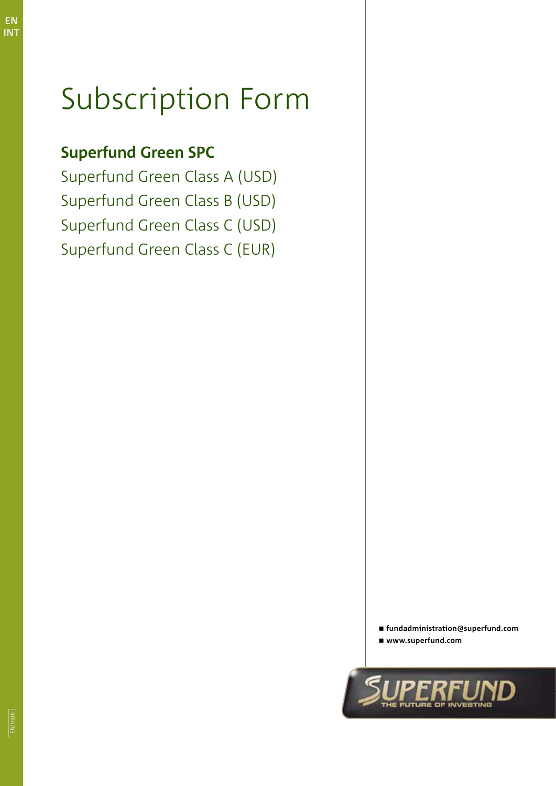**EN INT**

# Subscription Form

## **Superfund Green SPC**

Superfund Green Class A (USD) Superfund Green Class B (USD) Superfund Green Class C (USD) Superfund Green Class C (EUR)

> **fundadministration@superfund.com www.superfund.com**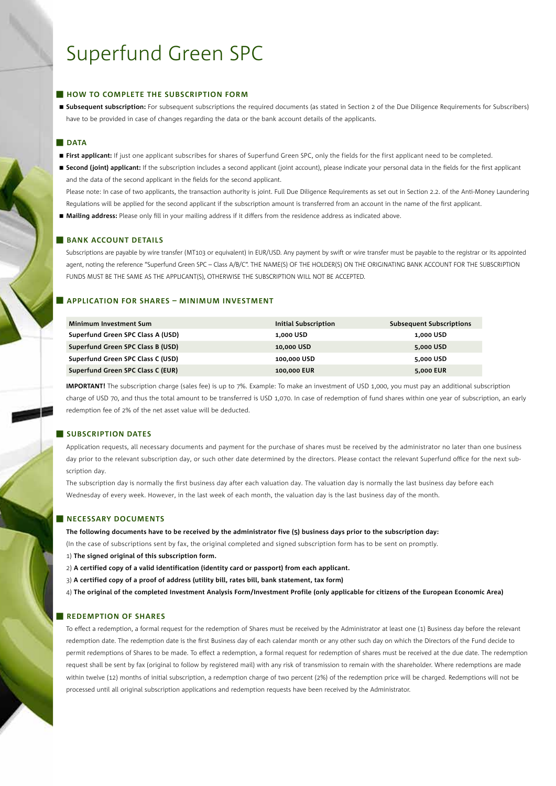### **HOW TO COMPLETE THE SUBSCRIPTION FORM**

 **Subsequent subscription:** For subsequent subscriptions the required documents (as stated in Section 2 of the Due Diligence Requirements for Subscribers) have to be provided in case of changes regarding the data or the bank account details of the applicants.

#### **DATA**

- **First applicant:** If just one applicant subscribes for shares of Superfund Green SPC, only the fields for the first applicant need to be completed.
- Second (joint) applicant: If the subscription includes a second applicant (joint account), please indicate your personal data in the fields for the first applicant and the data of the second applicant in the fields for the second applicant.

Please note: In case of two applicants, the transaction authority is joint. Full Due Diligence Requirements as set out in Section 2.2. of the Anti-Money Laundering Regulations will be applied for the second applicant if the subscription amount is transferred from an account in the name of the first applicant.

**Mailing address:** Please only fill in your mailing address if it differs from the residence address as indicated above.

### **BANK ACCOUNT DETAILS**

Subscriptions are payable by wire transfer (MT103 or equivalent) in EUR/USD. Any payment by swift or wire transfer must be payable to the registrar or its appointed agent, noting the reference "Superfund Green SPC – Class A/B/C". THE NAME(S) OF THE HOLDER(S) ON THE ORIGINATING BANK ACCOUNT FOR THE SUBSCRIPTION FUNDS MUST BE THE SAME AS THE APPLICANT(S), OTHERWISE THE SUBSCRIPTION WILL NOT BE ACCEPTED.

### **Application for shares – Minimum investment**

| <b>Minimum Investment Sum</b>     | <b>Initial Subscription</b> | <b>Subsequent Subscriptions</b> |
|-----------------------------------|-----------------------------|---------------------------------|
| Superfund Green SPC Class A (USD) | 1,000 USD                   | 1,000 USD                       |
| Superfund Green SPC Class B (USD) | 10,000 USD                  | 5,000 USD                       |
| Superfund Green SPC Class C (USD) | 100,000 USD                 | 5,000 USD                       |
| Superfund Green SPC Class C (EUR) | 100,000 EUR                 | 5,000 EUR                       |

**IMPORTANT!** The subscription charge (sales fee) is up to 7%. Example: To make an investment of USD 1,000, you must pay an additional subscription charge of USD 70, and thus the total amount to be transferred is USD 1,070. In case of redemption of fund shares within one year of subscription, an early redemption fee of 2% of the net asset value will be deducted.

### **SUBSCRIPTION DATES**

Application requests, all necessary documents and payment for the purchase of shares must be received by the administrator no later than one business day prior to the relevant subscription day, or such other date determined by the directors. Please contact the relevant Superfund office for the next subscription day.

The subscription day is normally the first business day after each valuation day. The valuation day is normally the last business day before each Wednesday of every week. However, in the last week of each month, the valuation day is the last business day of the month.

#### **NECESSARY DOCUMENTS**

**The following documents have to be received by the administrator five (5) business days prior to the subscription day:**

(In the case of subscriptions sent by fax, the original completed and signed subscription form has to be sent on promptly.

- 1) **The signed original of this subscription form.**
- 2) **A certified copy of a valid identification (identity card or passport) from each applicant.**
- 3) **A certified copy of a proof of address (utility bill, rates bill, bank statement, tax form)**
- 4) **The original of the completed Investment Analysis Form/Investment Profile (only applicable for citizens of the European Economic Area)**

#### **REDEMPTION OF SHARES**

To effect a redemption, a formal request for the redemption of Shares must be received by the Administrator at least one (1) Business day before the relevant redemption date. The redemption date is the first Business day of each calendar month or any other such day on which the Directors of the Fund decide to permit redemptions of Shares to be made. To effect a redemption, a formal request for redemption of shares must be received at the due date. The redemption request shall be sent by fax (original to follow by registered mail) with any risk of transmission to remain with the shareholder. Where redemptions are made within twelve (12) months of initial subscription, a redemption charge of two percent (2%) of the redemption price will be charged. Redemptions will not be processed until all original subscription applications and redemption requests have been received by the Administrator.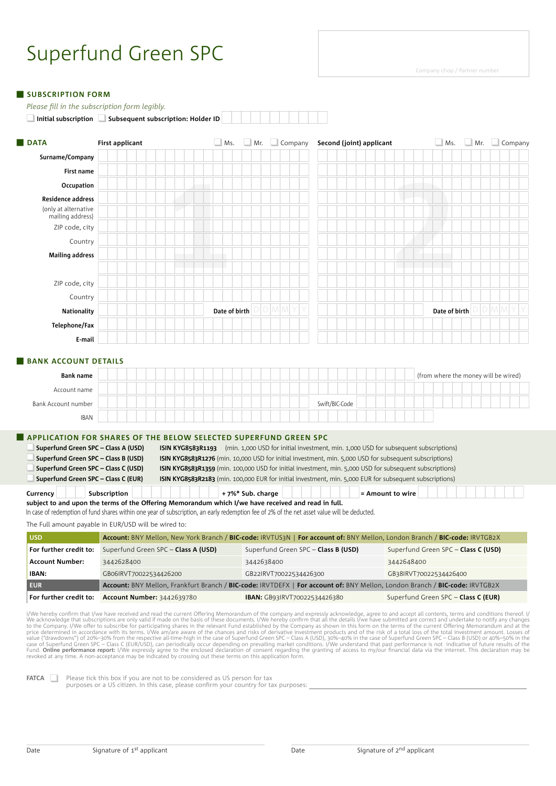#### **SUBSCRIPTION FORM**

*Please fill in the subscription form legibly.* 

□ Initial subscription ■ Subsequent subscription: Holder ID

| <b>DATA</b>                                                                                                                                              | <b>First applicant</b>                                                                                                                                                                                                                                              |               |                  | $\Box$ Ms. $\Box$ Mr. $\Box$ Company | Second (joint) applicant                                                                                                                                                                                                                                                                                                                                                                                                                         | Ms. Mr. Company                                                                                                                                                                                                                                                                                                                                                                                                                                                                                                                                                                                                                                                                                                                                                                                                                                                                                                                                                                                                                                                                                                                                                                                                                                                                                                                                                                                                                           |
|----------------------------------------------------------------------------------------------------------------------------------------------------------|---------------------------------------------------------------------------------------------------------------------------------------------------------------------------------------------------------------------------------------------------------------------|---------------|------------------|--------------------------------------|--------------------------------------------------------------------------------------------------------------------------------------------------------------------------------------------------------------------------------------------------------------------------------------------------------------------------------------------------------------------------------------------------------------------------------------------------|-------------------------------------------------------------------------------------------------------------------------------------------------------------------------------------------------------------------------------------------------------------------------------------------------------------------------------------------------------------------------------------------------------------------------------------------------------------------------------------------------------------------------------------------------------------------------------------------------------------------------------------------------------------------------------------------------------------------------------------------------------------------------------------------------------------------------------------------------------------------------------------------------------------------------------------------------------------------------------------------------------------------------------------------------------------------------------------------------------------------------------------------------------------------------------------------------------------------------------------------------------------------------------------------------------------------------------------------------------------------------------------------------------------------------------------------|
| Surname/Company                                                                                                                                          |                                                                                                                                                                                                                                                                     |               |                  |                                      |                                                                                                                                                                                                                                                                                                                                                                                                                                                  |                                                                                                                                                                                                                                                                                                                                                                                                                                                                                                                                                                                                                                                                                                                                                                                                                                                                                                                                                                                                                                                                                                                                                                                                                                                                                                                                                                                                                                           |
| First name                                                                                                                                               |                                                                                                                                                                                                                                                                     |               |                  |                                      |                                                                                                                                                                                                                                                                                                                                                                                                                                                  |                                                                                                                                                                                                                                                                                                                                                                                                                                                                                                                                                                                                                                                                                                                                                                                                                                                                                                                                                                                                                                                                                                                                                                                                                                                                                                                                                                                                                                           |
| Occupation                                                                                                                                               |                                                                                                                                                                                                                                                                     |               |                  |                                      |                                                                                                                                                                                                                                                                                                                                                                                                                                                  |                                                                                                                                                                                                                                                                                                                                                                                                                                                                                                                                                                                                                                                                                                                                                                                                                                                                                                                                                                                                                                                                                                                                                                                                                                                                                                                                                                                                                                           |
| <b>Residence address</b>                                                                                                                                 |                                                                                                                                                                                                                                                                     |               |                  |                                      |                                                                                                                                                                                                                                                                                                                                                                                                                                                  |                                                                                                                                                                                                                                                                                                                                                                                                                                                                                                                                                                                                                                                                                                                                                                                                                                                                                                                                                                                                                                                                                                                                                                                                                                                                                                                                                                                                                                           |
| (only at alternative<br>mailing address)                                                                                                                 |                                                                                                                                                                                                                                                                     |               |                  |                                      |                                                                                                                                                                                                                                                                                                                                                                                                                                                  |                                                                                                                                                                                                                                                                                                                                                                                                                                                                                                                                                                                                                                                                                                                                                                                                                                                                                                                                                                                                                                                                                                                                                                                                                                                                                                                                                                                                                                           |
| ZIP code, city                                                                                                                                           |                                                                                                                                                                                                                                                                     |               |                  |                                      |                                                                                                                                                                                                                                                                                                                                                                                                                                                  |                                                                                                                                                                                                                                                                                                                                                                                                                                                                                                                                                                                                                                                                                                                                                                                                                                                                                                                                                                                                                                                                                                                                                                                                                                                                                                                                                                                                                                           |
| Country                                                                                                                                                  |                                                                                                                                                                                                                                                                     |               |                  |                                      |                                                                                                                                                                                                                                                                                                                                                                                                                                                  |                                                                                                                                                                                                                                                                                                                                                                                                                                                                                                                                                                                                                                                                                                                                                                                                                                                                                                                                                                                                                                                                                                                                                                                                                                                                                                                                                                                                                                           |
| <b>Mailing address</b>                                                                                                                                   |                                                                                                                                                                                                                                                                     |               |                  |                                      |                                                                                                                                                                                                                                                                                                                                                                                                                                                  |                                                                                                                                                                                                                                                                                                                                                                                                                                                                                                                                                                                                                                                                                                                                                                                                                                                                                                                                                                                                                                                                                                                                                                                                                                                                                                                                                                                                                                           |
| ZIP code, city                                                                                                                                           |                                                                                                                                                                                                                                                                     |               |                  |                                      |                                                                                                                                                                                                                                                                                                                                                                                                                                                  |                                                                                                                                                                                                                                                                                                                                                                                                                                                                                                                                                                                                                                                                                                                                                                                                                                                                                                                                                                                                                                                                                                                                                                                                                                                                                                                                                                                                                                           |
| Country                                                                                                                                                  |                                                                                                                                                                                                                                                                     |               |                  |                                      |                                                                                                                                                                                                                                                                                                                                                                                                                                                  |                                                                                                                                                                                                                                                                                                                                                                                                                                                                                                                                                                                                                                                                                                                                                                                                                                                                                                                                                                                                                                                                                                                                                                                                                                                                                                                                                                                                                                           |
| <b>Nationality</b>                                                                                                                                       |                                                                                                                                                                                                                                                                     | Date of birth |                  | $D$ M M                              |                                                                                                                                                                                                                                                                                                                                                                                                                                                  | D M M<br>Date of birth                                                                                                                                                                                                                                                                                                                                                                                                                                                                                                                                                                                                                                                                                                                                                                                                                                                                                                                                                                                                                                                                                                                                                                                                                                                                                                                                                                                                                    |
| Telephone/Fax                                                                                                                                            |                                                                                                                                                                                                                                                                     |               |                  |                                      |                                                                                                                                                                                                                                                                                                                                                                                                                                                  |                                                                                                                                                                                                                                                                                                                                                                                                                                                                                                                                                                                                                                                                                                                                                                                                                                                                                                                                                                                                                                                                                                                                                                                                                                                                                                                                                                                                                                           |
| E-mail                                                                                                                                                   |                                                                                                                                                                                                                                                                     |               |                  |                                      |                                                                                                                                                                                                                                                                                                                                                                                                                                                  |                                                                                                                                                                                                                                                                                                                                                                                                                                                                                                                                                                                                                                                                                                                                                                                                                                                                                                                                                                                                                                                                                                                                                                                                                                                                                                                                                                                                                                           |
| <b>BANK ACCOUNT DETAILS</b>                                                                                                                              |                                                                                                                                                                                                                                                                     |               |                  |                                      |                                                                                                                                                                                                                                                                                                                                                                                                                                                  |                                                                                                                                                                                                                                                                                                                                                                                                                                                                                                                                                                                                                                                                                                                                                                                                                                                                                                                                                                                                                                                                                                                                                                                                                                                                                                                                                                                                                                           |
| <b>Bank name</b>                                                                                                                                         |                                                                                                                                                                                                                                                                     |               |                  |                                      |                                                                                                                                                                                                                                                                                                                                                                                                                                                  | (from where the money will be wired)                                                                                                                                                                                                                                                                                                                                                                                                                                                                                                                                                                                                                                                                                                                                                                                                                                                                                                                                                                                                                                                                                                                                                                                                                                                                                                                                                                                                      |
| Account name                                                                                                                                             |                                                                                                                                                                                                                                                                     |               |                  |                                      |                                                                                                                                                                                                                                                                                                                                                                                                                                                  |                                                                                                                                                                                                                                                                                                                                                                                                                                                                                                                                                                                                                                                                                                                                                                                                                                                                                                                                                                                                                                                                                                                                                                                                                                                                                                                                                                                                                                           |
| Bank Account number                                                                                                                                      |                                                                                                                                                                                                                                                                     |               |                  |                                      | Swift/BIC-Code                                                                                                                                                                                                                                                                                                                                                                                                                                   |                                                                                                                                                                                                                                                                                                                                                                                                                                                                                                                                                                                                                                                                                                                                                                                                                                                                                                                                                                                                                                                                                                                                                                                                                                                                                                                                                                                                                                           |
| <b>IBAN</b>                                                                                                                                              |                                                                                                                                                                                                                                                                     |               |                  |                                      |                                                                                                                                                                                                                                                                                                                                                                                                                                                  |                                                                                                                                                                                                                                                                                                                                                                                                                                                                                                                                                                                                                                                                                                                                                                                                                                                                                                                                                                                                                                                                                                                                                                                                                                                                                                                                                                                                                                           |
| Superfund Green SPC - Class A (USD)<br>Superfund Green SPC - Class B (USD)<br>Superfund Green SPC - Class C (USD)<br>Superfund Green SPC - Class C (EUR) | <b>APPLICATION FOR SHARES OF THE BELOW SELECTED SUPERFUND GREEN SPC</b>                                                                                                                                                                                             |               |                  |                                      | <b>ISIN KYG8583R1193</b> (min. 1,000 USD for initial investment, min. 1,000 USD for subsequent subscriptions)<br>ISIN KYG8583R1276 (min. 10,000 USD for initial investment, min. 5,000 USD for subsequent subscriptions)<br>ISIN KYG8583R1359 (min. 100,000 USD for initial investment, min. 5,000 USD for subsequent subscriptions)<br>ISIN KYG8583R2183 (min. 100,000 EUR for initial investment, min. 5,000 EUR for subsequent subscriptions) |                                                                                                                                                                                                                                                                                                                                                                                                                                                                                                                                                                                                                                                                                                                                                                                                                                                                                                                                                                                                                                                                                                                                                                                                                                                                                                                                                                                                                                           |
| Currency                                                                                                                                                 | Subscription<br>subject to and upon the terms of the Offering Memorandum which I/we have received and read in full.<br>In case of redemption of fund shares within one year of subscription, an early redemption fee of 2% of the net asset value will be deducted. |               | +7%* Sub. charge |                                      | = Amount to wire                                                                                                                                                                                                                                                                                                                                                                                                                                 |                                                                                                                                                                                                                                                                                                                                                                                                                                                                                                                                                                                                                                                                                                                                                                                                                                                                                                                                                                                                                                                                                                                                                                                                                                                                                                                                                                                                                                           |
|                                                                                                                                                          | The Full amount payable in EUR/USD will be wired to:                                                                                                                                                                                                                |               |                  |                                      |                                                                                                                                                                                                                                                                                                                                                                                                                                                  |                                                                                                                                                                                                                                                                                                                                                                                                                                                                                                                                                                                                                                                                                                                                                                                                                                                                                                                                                                                                                                                                                                                                                                                                                                                                                                                                                                                                                                           |
| <b>USD</b>                                                                                                                                               |                                                                                                                                                                                                                                                                     |               |                  |                                      |                                                                                                                                                                                                                                                                                                                                                                                                                                                  | Account: BNY Mellon, New York Branch / BIC-code: IRVTUS3N   For account of: BNY Mellon, London Branch / BIC-code: IRVTGB2X                                                                                                                                                                                                                                                                                                                                                                                                                                                                                                                                                                                                                                                                                                                                                                                                                                                                                                                                                                                                                                                                                                                                                                                                                                                                                                                |
| For further credit to:                                                                                                                                   | Superfund Green SPC - Class A (USD)                                                                                                                                                                                                                                 |               |                  |                                      | Superfund Green SPC - Class B (USD)                                                                                                                                                                                                                                                                                                                                                                                                              | Superfund Green SPC - Class C (USD)                                                                                                                                                                                                                                                                                                                                                                                                                                                                                                                                                                                                                                                                                                                                                                                                                                                                                                                                                                                                                                                                                                                                                                                                                                                                                                                                                                                                       |
| <b>Account Number:</b>                                                                                                                                   | 3442628400                                                                                                                                                                                                                                                          |               | 3442638400       |                                      |                                                                                                                                                                                                                                                                                                                                                                                                                                                  | 3442648400                                                                                                                                                                                                                                                                                                                                                                                                                                                                                                                                                                                                                                                                                                                                                                                                                                                                                                                                                                                                                                                                                                                                                                                                                                                                                                                                                                                                                                |
| <b>IBAN:</b>                                                                                                                                             | GB06IRVT70022534426200                                                                                                                                                                                                                                              |               |                  | GB22IRVT70022534426300               |                                                                                                                                                                                                                                                                                                                                                                                                                                                  | GB38IRVT70022534426400                                                                                                                                                                                                                                                                                                                                                                                                                                                                                                                                                                                                                                                                                                                                                                                                                                                                                                                                                                                                                                                                                                                                                                                                                                                                                                                                                                                                                    |
| <b>EUR</b>                                                                                                                                               |                                                                                                                                                                                                                                                                     |               |                  |                                      |                                                                                                                                                                                                                                                                                                                                                                                                                                                  | Account: BNY Mellon. Frankfurt Branch / BIC-code: IRVTDEFX   For account of: BNY Mellon. London Branch / BIC-code: IRVTGB2X                                                                                                                                                                                                                                                                                                                                                                                                                                                                                                                                                                                                                                                                                                                                                                                                                                                                                                                                                                                                                                                                                                                                                                                                                                                                                                               |
| For further credit to:                                                                                                                                   | Account Number: 3442639780                                                                                                                                                                                                                                          |               |                  | IBAN: GB93IRVT70022534426380         |                                                                                                                                                                                                                                                                                                                                                                                                                                                  | Superfund Green SPC - Class C (EUR)                                                                                                                                                                                                                                                                                                                                                                                                                                                                                                                                                                                                                                                                                                                                                                                                                                                                                                                                                                                                                                                                                                                                                                                                                                                                                                                                                                                                       |
|                                                                                                                                                          | revoked at any time. A non-acceptance may be indicated by crossing out these terms on this application form.                                                                                                                                                        |               |                  |                                      |                                                                                                                                                                                                                                                                                                                                                                                                                                                  | I/We hereby confirm that I/we have received and read the current Offering Memorandum of the company and expressly acknowledge, agree to and accept all contents, terms and conditions thereof. I/<br>We acknowledge that subscriptions are only valid if made on the basis of these documents. I/We hereby confirm that all the details I/we have submitted are correct and undertake to notify any changes<br>to the Company. I/We offer to subscribe for participating shares in the relevant Fund established by the Company as shown in this form on the terms of the current Offering Memorandum and at the<br>price determined in accordance with its terms. I/We am/are aware of the chances and risks of derivative investment products and of the risk of a total loss of the total investment amount. Losses of<br>value ("drawdowns") of 20%-30% from the respective all-time-high in the case of Superfund Green SPC - Class A (USD), 30%-40% in the case of Superfund Green SPC - Class B (USD) or 40%-50% in the<br>case of Superfund Green SPC - Class C (EUR/USD), can periodically occur depending on prevailing market conditions. I/We understand that past performance is not indicative of future results of the<br>Fund. Online performance report: I/We expressly agree to the enclosed declaration of consent regarding the granting of access to my/our financial data via the internet. This declaration may be |

**FATCA** Please tick this box if you are not to be considered as US person for tax purposes or a US citizen. In this case, please confirm your country for tax purposes: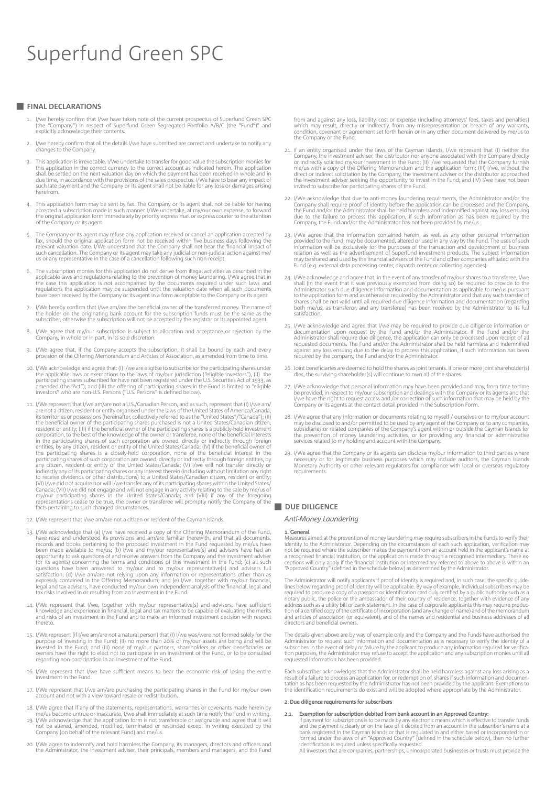#### **FINAL DECLARATIONS**

- 1. I/we hereby confirm that I/we have taken note of the current prospectus of Superfund Green SPC (the "Company") in respect of Superfund Green Segregated Portfolio A/B/C (the "Fund")" and explicitly acknowledge their contents.
- I/we hereby confirm that all the details I/we have submitted are correct and undertake to notify any changes to the Company.
- 3. This application is irrevocable. I/We undertake to transfer for good value the subscription monies for this application in the correct currency to the correct account as indicated herein. The application shall be settle herefrom.
- 4. This application form may be sent by fax. The Company or its agent shall not be liable for having accepted a subscription made in such manner. I/We undertake, at my/our own expense, to forward the original application form immediately by priority express mail or express courier to the attention of the Company or its agent.
- 5. The Company or its agent may refuse any application received or cancel an application accepted by<br>fax, should the original application form not be received within five business days following the<br>relevant valuation date such cancellation. The Company or its agent may take any judicial or non-judicial action against me/ us or any representative in the case of a cancellation following such non-receipt.
- The subscription monies for this application do not derive from illegal activities as described in the applicable laws and regulations relating to the prevention of money laundering. I/We agree that in<br>the case this application is not accompanied by the documents required under such laws and<br>regulations the application may have been received by the Company or its agent in a form acceptable to the Company or its agent.
- I/We hereby confirm that I/we am/are the beneficial owner of the transferred money. The name of the holder on the originating bank account for the subscription funds must be the same as the subscriber, otherwise the subscription will not be accepted by the registrar or its appointed agent.
- 8. I/We agree that my/our subscription is subject to allocation and acceptance or rejection by the Company, in whole or in part, in its sole discretion.
- 9. I/We agree that, if the Company accepts the subscription, it shall be bound by each and every provision of the Offering Memorandum and Articles of Association, as amended from time to time.
- 10. I/We acknowledge and agree that: (I) I/we are eligible to subscribe for the participating shares under<br>the applicable laws or exemptions to the laws of my/our jurisdiction ("eligible investors"), (II) the<br>participating amended (the "Act"); and (III) the offering of participating shares in the Fund is limited to "eligible investors" who are non-U.S. Persons ("U.S. Persons" is defined below).
- 11. I/We represent that I/we am/are not a U.S./Canadian Person, and as such, represent that (I) I/we am/<br>are not a citizen, resident or entity organised under the laws of the United States of America/Canada,<br>its territorie any citizen, resident or entity of the United States/Canada; (V) I/we will not transfer directly or<br>indirectly any of its participating shares or any interest therein (including without limitation any right<br>to receive divi (VI) I/we did not acquire nor will I/we transfer any of its participating shares within the United States/<br>Canada; (VII) I/we did not engage and will not engage in any activity relating to the sale by me/us of<br>my/our part representations cease to be true, the owner or transferee will promptly notify the Company of the facts pertaining to such changed circumstances.
- 12. I/We represent that I/we am/are not a citizen or resident of the Cayman Islands.
- 13. I/We acknowledge that (a) I/we have received a copy of the Offering Memorandum of the Fund,<br>have read and understood its provisions and am/are familiar therewith, and that all documents,<br>records and books pertaining t opportunity to ask questions of and receive answers from the Company and the investment adviser<br>(or its agents) concerning the terms and conditions of this investment in the Fund; (c) all such<br>questions have been answered tax risks involved in or resulting from an investment in the Fund.
- 14. I/We represent that I/we, together with my/our representative(s) and advisers, have sufficient knowledge and experience in financial, legal and tax matters to be capable of evaluating the merits and risks of an investm
- 15. I/We represent (if I/we am/are not a natural person) that (I) I/we was/were not formed solely for the purpose of investing in the Fund; (II) no more than 20% of my/our assets are being and will be<br>invested in the Fund; and (III) none of my/our partners, shareholders or other beneficiaries or<br>owners have the right to elect regarding non-participation in an investment of the Fund.
- 16. I/We represent that I/we have sufficient means to bear the economic risk of losing the entire investment in the Fund.
- 17. I/We represent that I/we am/are purchasing the participating shares in the Fund for my/our own account and not with a view toward resale or redistribution.
- 18. I/We agree that if any of the statements, representations, warranties or covenants made herein by
- me/us become untrue or inaccurate, I/we shall immediately at such time notify the Fund in writing.<br>19. I/We acknowledge that the application form is not transferable or assignable and agree that it will<br>not be altered, ame
- 20. I/We agree to indemnify and hold harmless the Company, its managers, directors and officers and the Administrator, the investment adviser, their principals, members and managers, and the Fund

from and against any loss, liability, cost or expense (including attorneys' fees, taxes and penalties)<br>which may result, directly or indirectly, from any misrepresentation or breach of any warranty,<br>condition, covenant or the Company or the Fund.

- 21. If an entity organised under the laws of the Cayman Islands, I/we represent that (I) neither the Company, the investment adviser, the distributor nor anyone associated with the Company directly<br>or indirectly solicited my/our investment in the Fund; (II) I/we requested that the Company furnish<br>me/us with a copy of the direct or indirect solicitation by the Company, the investment adviser or the distributor approached<br>the investment adviser seeking the opportunity to invest in the Fund; and (IV) I/we have not been<br>invited to subscribe fo
- 22. I/We acknowledge that due to anti-money laundering requirments, the Administrator and/or the Company shall require proof of identity before the application can be processed and the Company, the Fund and/or the Adminis
- 23. I/We agree that the information contained herein, as well as any other personal information provided to the Fund, may be documented, altered or used in any way by the Fund. The uses of such information will be exclusiv Fund (e.g. external data processing center, dispatch center or collecting agencies).
- 24. I/We acknowledge and agree that, in the event of any transfer of my/our shares to a transferee, I/we shall (in the event that it was previously exempted from doing so) be required to provide to the Administrator such d both me/us, as transferor, and any transferee) has been received by the Administrator to its full satisfaction.
- 25. I/We acknowledge and agree that I/we may be required to provide due diligence information or<br>documentation upon request by the Fund and/or the Administrator. If the Fund and/or the<br>Administrator shall require due dilig requested documents. The Fund and/or the Administrator shall be held harmless and indemnified<br>against any loss ensuing due to the delay to process this application, if such information has been<br>required by the company, the
- 26. Joint beneficiaries are deemed to hold the shares as joint tenants. If one or more joint shareholder(s) dies, the surviving shareholder(s) will continue to own all of the shares.
- 27. I/We acknowledge that personal information may have been provided and may, from time to time<br>be provided, in respect to my/our subscription and dealings with the Company or its agents and that<br>I/we have the right to re
- 28. I/We agree that any information or documents relating to myself / ourselves or to my/our account may be disclosed to and/or permitted to be used by any agent of the Company or to any companies, substidiaries or related
- 29. I/We agree that the Company or its agents can disclose my/our information to third parties where<br>necessary or for legitimate business purposes which may include auditors, the Cayman Islands<br>Monetary Authority or other requirements.

### **DUE DILIGENCE**

#### *Anti-Money Laundering*

#### **1. General**

Measures aimed at the prevention of money laundering may require subscribers in the Funds to verify their<br>identity to the Administrator. Depending on the circumstances of each such application, verification may<br>not be requ a recognised financial institution, or the application is made through a recognised intermediary. These ex-<br>ceptions will only apply if the financial institution or intermediary referred to above to above is within an<br>"App

The Administrator will notify applicants if proof of identity is required and, in such case, the specific guidelines below regarding proof of identity will be applicable. By way of example, individual subscribers may be required to produce a copy of a passport or identification card duly certified by a public authority such as a no directors and beneficial owners.

The details given above are by way of example only and the Company and the Funds have authorised the Administrator to request such information and documentation as is necessary to verify the identity of a subscription subs requested information has been provided.

Each subscriber acknowledges that the Administrator shall be held harmless against any loss arising as a result of a failure to process an application for, or redemption of, shares if such information and documen-<br>tation as has been requested by the Administrator has not been provided by the applicant. Exemptions to<br>the ident

#### **2. Due diligence requirements for subscribers**

- **2.1. Exemption for subscription debited from bank account in an Approved Country:**
- If payment for subscriptions is to be made by any electronic means which is effective to transfer funds and the payment is clearly or on the face of it debited from an account in the subscriber's name at a bank registered in the Cayman Islands or that is regulated in and either based or incorporated in or<br>formed under the laws of an "Approved Country" (defined in the schedule below), then no further<br>identification is require

All investors that are companies, partnerships, unincorporated businesses or trusts must provide the